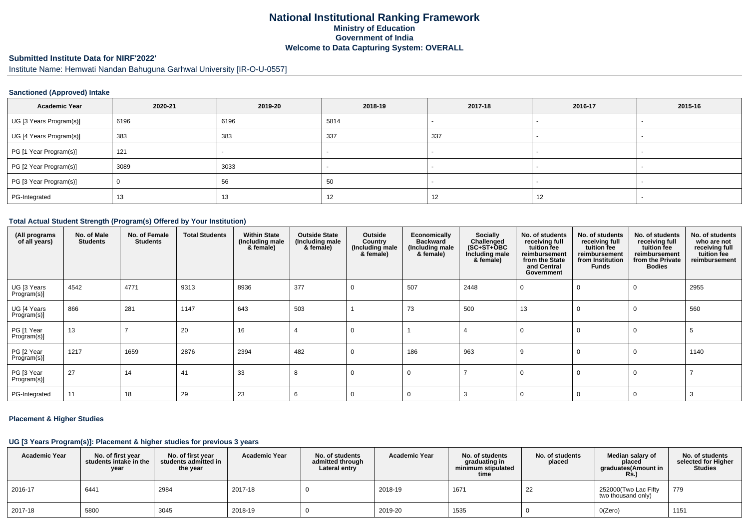# **National Institutional Ranking FrameworkMinistry of Education Government of IndiaWelcome to Data Capturing System: OVERALL**

# **Submitted Institute Data for NIRF'2022'**

Institute Name: Hemwati Nandan Bahuguna Garhwal University [IR-O-U-0557]

### **Sanctioned (Approved) Intake**

| <b>Academic Year</b>    | 2020-21 | 2019-20 | 2018-19 | 2017-18 | 2016-17                  | 2015-16 |
|-------------------------|---------|---------|---------|---------|--------------------------|---------|
| UG [3 Years Program(s)] | 6196    | 6196    | 5814    |         | $\overline{\phantom{0}}$ |         |
| UG [4 Years Program(s)] | 383     | 383     | 337     | 337     |                          |         |
| PG [1 Year Program(s)]  | 121     |         |         |         |                          |         |
| PG [2 Year Program(s)]  | 3089    | 3033    |         |         |                          |         |
| PG [3 Year Program(s)]  |         | 56      | 50      |         |                          |         |
| PG-Integrated           | 13      | 13.     | 12      | 12      | 12                       |         |

#### **Total Actual Student Strength (Program(s) Offered by Your Institution)**

| (All programs<br>of all years) | No. of Male<br><b>Students</b> | No. of Female<br><b>Students</b> | <b>Total Students</b> | <b>Within State</b><br>(Including male<br>& female) | <b>Outside State</b><br>(Including male<br>& female) | Outside<br>Country<br>(Including male<br>& female) | Economically<br><b>Backward</b><br>(Including male<br>& female) | <b>Socially</b><br>Challenged<br>$(SC+ST+ÖBC)$<br>Including male<br>& female) | No. of students<br>receiving full<br>tuition fee<br>reimbursement<br>from the State<br>and Central<br>Government | No. of students<br>receiving full<br>tuition fee<br>reimbursement<br>from Institution<br><b>Funds</b> | No. of students<br>receiving full<br>tuition fee<br>reimbursement<br>from the Private<br><b>Bodies</b> | No. of students<br>who are not<br>receiving full<br>tuition fee<br>reimbursement |
|--------------------------------|--------------------------------|----------------------------------|-----------------------|-----------------------------------------------------|------------------------------------------------------|----------------------------------------------------|-----------------------------------------------------------------|-------------------------------------------------------------------------------|------------------------------------------------------------------------------------------------------------------|-------------------------------------------------------------------------------------------------------|--------------------------------------------------------------------------------------------------------|----------------------------------------------------------------------------------|
| UG [3 Years<br>Program(s)]     | 4542                           | 4771                             | 9313                  | 8936                                                | 377                                                  | 0                                                  | 507                                                             | 2448                                                                          | - 0                                                                                                              | $\Omega$                                                                                              | $\Omega$                                                                                               | 2955                                                                             |
| UG [4 Years<br>Program(s)]     | 866                            | 281                              | 1147                  | 643                                                 | 503                                                  |                                                    | 73                                                              | 500                                                                           | 13                                                                                                               | $\Omega$                                                                                              |                                                                                                        | 560                                                                              |
| PG [1 Year<br>Program(s)]      | 13                             |                                  | 20                    | 16                                                  |                                                      | $\Omega$                                           |                                                                 |                                                                               | $\Omega$                                                                                                         | $\Omega$                                                                                              | $\Omega$                                                                                               |                                                                                  |
| PG [2 Year<br>Program(s)]      | 1217                           | 1659                             | 2876                  | 2394                                                | 482                                                  | $\Omega$                                           | 186                                                             | 963                                                                           | 9                                                                                                                | 0                                                                                                     | $\Omega$                                                                                               | 1140                                                                             |
| PG [3 Year<br>Program(s)]      | 27                             | 14                               | 41                    | 33                                                  | 8                                                    | 0                                                  | $\Omega$                                                        |                                                                               | $\Omega$                                                                                                         | 0                                                                                                     | $\Omega$                                                                                               |                                                                                  |
| PG-Integrated                  | 11                             | 18                               | 29                    | 23                                                  | -6                                                   | $\Omega$                                           | $\Omega$                                                        |                                                                               | $\Omega$                                                                                                         | $\Omega$                                                                                              | $\Omega$                                                                                               |                                                                                  |

### **Placement & Higher Studies**

#### **UG [3 Years Program(s)]: Placement & higher studies for previous 3 years**

| <b>Academic Year</b> | No. of first vear<br>students intake in the<br>year | No. of first year<br>students admitted in<br>the year | <b>Academic Year</b> | No. of students<br>admitted through<br>Lateral entry | <b>Academic Year</b> | No. of students<br>graduating in<br>minimum stipulated<br>time | No. of students<br>placed | Median salary of<br>placed<br>graduates(Amount in<br><b>Rs.</b> ) | No. of students<br>selected for Higher<br><b>Studies</b> |
|----------------------|-----------------------------------------------------|-------------------------------------------------------|----------------------|------------------------------------------------------|----------------------|----------------------------------------------------------------|---------------------------|-------------------------------------------------------------------|----------------------------------------------------------|
| 2016-17              | 6441                                                | 2984                                                  | 2017-18              |                                                      | 2018-19              | 1671                                                           | 22                        | 252000(Two Lac Fifty<br>two thousand only)                        | 779                                                      |
| 2017-18              | 5800                                                | 3045                                                  | 2018-19              |                                                      | 2019-20              | 1535                                                           |                           | O(Zero)                                                           | 1151                                                     |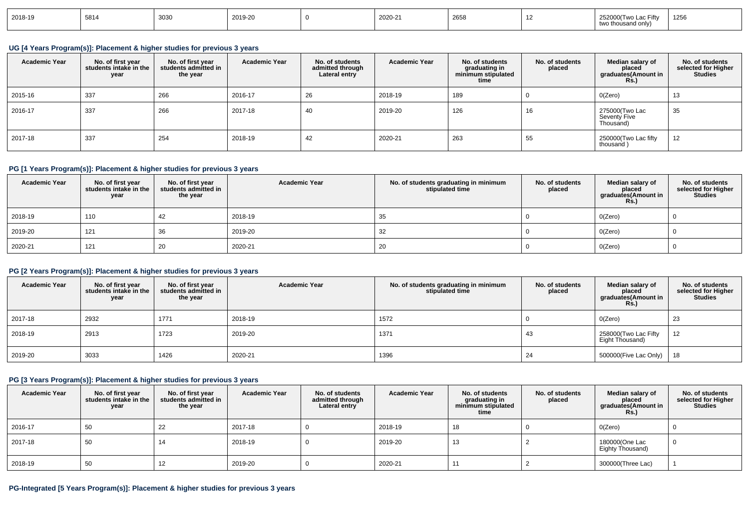| 2018-19 | 5814 | 3U3L<br>ouuu | 2019-20 |  | 2020-21 | ----<br>LUU. |  | $H =$<br>oniv | 1256 |
|---------|------|--------------|---------|--|---------|--------------|--|---------------|------|
|---------|------|--------------|---------|--|---------|--------------|--|---------------|------|

### **UG [4 Years Program(s)]: Placement & higher studies for previous 3 years**

| <b>Academic Year</b> | No. of first year<br>students intake in the<br>year | No. of first vear<br>students admitted in<br>the year | <b>Academic Year</b> | No. of students<br>admitted through<br>Lateral entry | <b>Academic Year</b> | No. of students<br>graduating in<br>minimum stipulated<br>time | No. of students<br>placed | Median salary of<br>placed<br>graduates(Amount in<br><b>Rs.</b> ) | No. of students<br>selected for Higher<br><b>Studies</b> |
|----------------------|-----------------------------------------------------|-------------------------------------------------------|----------------------|------------------------------------------------------|----------------------|----------------------------------------------------------------|---------------------------|-------------------------------------------------------------------|----------------------------------------------------------|
| 2015-16              | 337                                                 | 266                                                   | 2016-17              | 26                                                   | 2018-19              | 189                                                            |                           | 0(Zero)                                                           | 13                                                       |
| 2016-17              | 337                                                 | 266                                                   | 2017-18              | 40                                                   | 2019-20              | 126                                                            | 16                        | 275000(Two Lac<br>Seventy Five<br>Thousand)                       | 35                                                       |
| 2017-18              | 337                                                 | 254                                                   | 2018-19              | 42                                                   | 2020-21              | 263                                                            | 55                        | 250000(Two Lac fifty<br>thousand)                                 | 12                                                       |

### **PG [1 Years Program(s)]: Placement & higher studies for previous 3 years**

| <b>Academic Year</b> | No. of first year<br>students intake in the<br>year | No. of first year<br>students admitted in<br>the year | <b>Academic Year</b> | No. of students graduating in minimum<br>stipulated time | No. of students<br>placed | Median salary of<br>placed<br>graduates(Amount in<br><b>Rs.)</b> | No. of students<br>selected for Higher<br><b>Studies</b> |
|----------------------|-----------------------------------------------------|-------------------------------------------------------|----------------------|----------------------------------------------------------|---------------------------|------------------------------------------------------------------|----------------------------------------------------------|
| 2018-19              | 110                                                 | 42                                                    | 2018-19              | 35                                                       |                           | O(Zero)                                                          |                                                          |
| 2019-20              | 121                                                 | 36                                                    | 2019-20              | 32                                                       |                           | O(Zero)                                                          |                                                          |
| 2020-21              | 121                                                 | 20                                                    | 2020-21              | 20                                                       |                           | O(Zero)                                                          |                                                          |

## **PG [2 Years Program(s)]: Placement & higher studies for previous 3 years**

| <b>Academic Year</b> | No. of first year<br>students intake in the<br>year | No. of first year<br>students admitted in<br>the year | <b>Academic Year</b> | No. of students graduating in minimum<br>stipulated time | No. of students<br>placed | Median salary of<br>placed<br>graduates(Amount in<br><b>Rs.)</b> | No. of students<br>selected for Higher<br><b>Studies</b> |
|----------------------|-----------------------------------------------------|-------------------------------------------------------|----------------------|----------------------------------------------------------|---------------------------|------------------------------------------------------------------|----------------------------------------------------------|
| 2017-18              | 2932                                                | 1771                                                  | 2018-19              | 1572                                                     |                           | O(Zero)                                                          | 23                                                       |
| 2018-19              | 2913                                                | 1723                                                  | 2019-20              | 1371                                                     | 43                        | 258000(Two Lac Fifty<br>Eight Thousand)                          | 12                                                       |
| 2019-20              | 3033                                                | 1426                                                  | 2020-21              | 1396                                                     | 24                        | 500000(Five Lac Only)                                            | 18                                                       |

### **PG [3 Years Program(s)]: Placement & higher studies for previous 3 years**

| <b>Academic Year</b> | No. of first year<br>students intake in the<br>year | No. of first year<br>students admitted in<br>the year | <b>Academic Year</b> | No. of students<br>admitted through<br>Lateral entry | <b>Academic Year</b> | No. of students<br>graduating in<br>minimum stipulated<br>time | No. of students<br>placed | Median salary of<br>placed<br>graduates(Amount in<br><b>Rs.)</b> | No. of students<br>selected for Higher<br>Studies |
|----------------------|-----------------------------------------------------|-------------------------------------------------------|----------------------|------------------------------------------------------|----------------------|----------------------------------------------------------------|---------------------------|------------------------------------------------------------------|---------------------------------------------------|
| 2016-17              | 50                                                  | 22                                                    | 2017-18              |                                                      | 2018-19              | 18                                                             |                           | O(Zero)                                                          |                                                   |
| 2017-18              | 50                                                  | 14                                                    | 2018-19              |                                                      | 2019-20              | 13                                                             |                           | 180000(One Lac<br>Eighty Thousand)                               |                                                   |
| 2018-19              | 50                                                  |                                                       | 2019-20              |                                                      | 2020-21              |                                                                |                           | 300000(Three Lac)                                                |                                                   |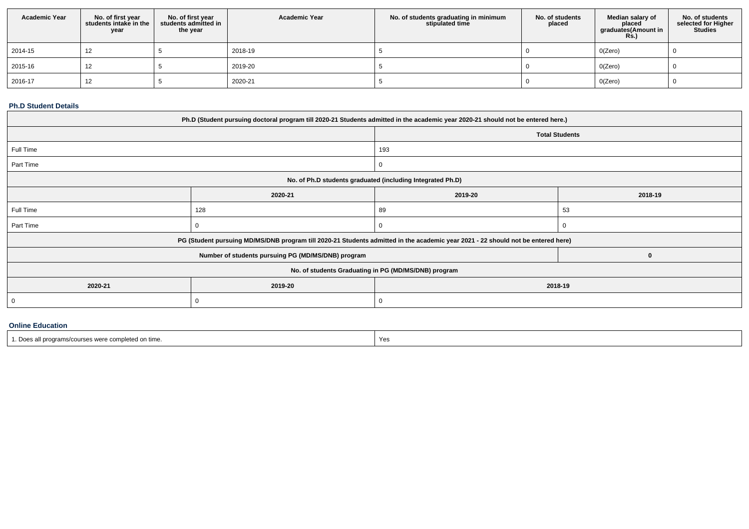| <b>Academic Year</b> | No. of first year<br>students intake in the<br>year | No. of first year<br>students admitted in<br>the year | <b>Academic Year</b> | No. of students graduating in minimum<br>stipulated time | No. of students<br>placed | Median salary of<br>placed<br>graduates(Amount in<br><b>Rs.)</b> | No. of students<br>selected for Higher<br><b>Studies</b> |
|----------------------|-----------------------------------------------------|-------------------------------------------------------|----------------------|----------------------------------------------------------|---------------------------|------------------------------------------------------------------|----------------------------------------------------------|
| 2014-15              | 12                                                  |                                                       | 2018-19              |                                                          |                           | O(Zero)                                                          |                                                          |
| 2015-16              | 12                                                  |                                                       | 2019-20              |                                                          |                           | O(Zero)                                                          |                                                          |
| 2016-17              | 12                                                  |                                                       | 2020-21              |                                                          |                           | O(Zero)                                                          |                                                          |

#### **Ph.D Student Details**

| Ph.D (Student pursuing doctoral program till 2020-21 Students admitted in the academic year 2020-21 should not be entered here.) |                                                                                                                                  |                                                      |             |  |  |  |  |  |
|----------------------------------------------------------------------------------------------------------------------------------|----------------------------------------------------------------------------------------------------------------------------------|------------------------------------------------------|-------------|--|--|--|--|--|
|                                                                                                                                  |                                                                                                                                  | <b>Total Students</b>                                |             |  |  |  |  |  |
| Full Time                                                                                                                        |                                                                                                                                  | 193                                                  |             |  |  |  |  |  |
| Part Time                                                                                                                        |                                                                                                                                  | 0                                                    |             |  |  |  |  |  |
| No. of Ph.D students graduated (including Integrated Ph.D)                                                                       |                                                                                                                                  |                                                      |             |  |  |  |  |  |
|                                                                                                                                  | 2020-21                                                                                                                          | 2019-20                                              | 2018-19     |  |  |  |  |  |
| Full Time                                                                                                                        | 128                                                                                                                              | 89                                                   | 53          |  |  |  |  |  |
| Part Time                                                                                                                        |                                                                                                                                  | $\Omega$<br>∩                                        |             |  |  |  |  |  |
|                                                                                                                                  | PG (Student pursuing MD/MS/DNB program till 2020-21 Students admitted in the academic year 2021 - 22 should not be entered here) |                                                      |             |  |  |  |  |  |
|                                                                                                                                  | Number of students pursuing PG (MD/MS/DNB) program                                                                               |                                                      | $\mathbf 0$ |  |  |  |  |  |
|                                                                                                                                  |                                                                                                                                  | No. of students Graduating in PG (MD/MS/DNB) program |             |  |  |  |  |  |
| 2020-21                                                                                                                          | 2019-20                                                                                                                          | 2018-19                                              |             |  |  |  |  |  |
|                                                                                                                                  |                                                                                                                                  | $\Omega$                                             |             |  |  |  |  |  |

#### **Online Education**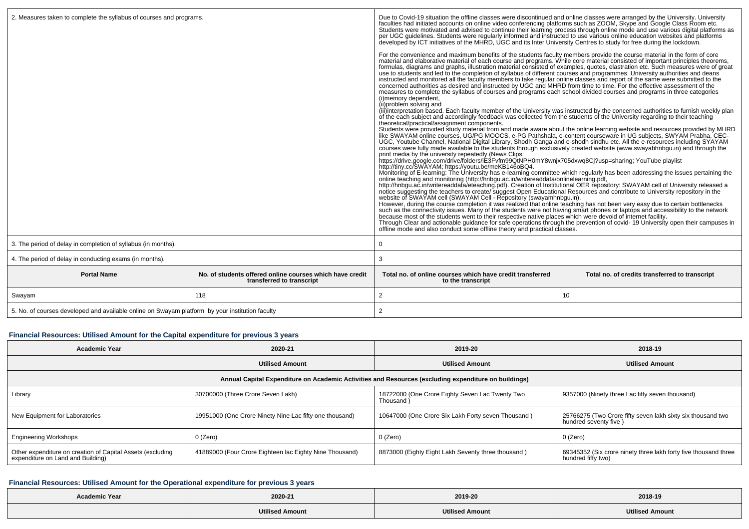| 2. Measures taken to complete the syllabus of courses and programs.                             |                                                                                       | Due to Covid-19 situation the offline classes were discontinued and online classes were arranged by the University. University<br>faculties had initiated accounts on online video conferencing platforms such as ZOOM, Skype and Google Class Room etc.<br>Students were motivated and advised to continue their learning process through online mode and use various digital platforms as<br>per UGC guidelines. Students were regularly informed and instructed to use various online education websites and platforms developed by ICT initiatives of the MHRD, UGC and its Inter University Centres to study for free du                                                                                                                                                                                                                                                                                                                                                                                                                                                                                                                                                                                                                                                                                                                                                                                                                                                                                                                                                                                                                                                                                                                                                                                                                                                                                                                                                                                                                                                                                                                                                                                                                                                                                                                                                                                                                                                                                                                                                                                                                                                                                                                                                                                                                                                                                                                                                                                                                                                                                                       |                                                |  |  |
|-------------------------------------------------------------------------------------------------|---------------------------------------------------------------------------------------|-------------------------------------------------------------------------------------------------------------------------------------------------------------------------------------------------------------------------------------------------------------------------------------------------------------------------------------------------------------------------------------------------------------------------------------------------------------------------------------------------------------------------------------------------------------------------------------------------------------------------------------------------------------------------------------------------------------------------------------------------------------------------------------------------------------------------------------------------------------------------------------------------------------------------------------------------------------------------------------------------------------------------------------------------------------------------------------------------------------------------------------------------------------------------------------------------------------------------------------------------------------------------------------------------------------------------------------------------------------------------------------------------------------------------------------------------------------------------------------------------------------------------------------------------------------------------------------------------------------------------------------------------------------------------------------------------------------------------------------------------------------------------------------------------------------------------------------------------------------------------------------------------------------------------------------------------------------------------------------------------------------------------------------------------------------------------------------------------------------------------------------------------------------------------------------------------------------------------------------------------------------------------------------------------------------------------------------------------------------------------------------------------------------------------------------------------------------------------------------------------------------------------------------------------------------------------------------------------------------------------------------------------------------------------------------------------------------------------------------------------------------------------------------------------------------------------------------------------------------------------------------------------------------------------------------------------------------------------------------------------------------------------------------------------------------------------------------------------------------------------------------|------------------------------------------------|--|--|
|                                                                                                 |                                                                                       | For the convenience and maximum benefits of the students faculty members provide the course material in the form of core<br>material and elaborative material of each course and programs. While core material consisted of important principles theorems,<br>formulas, diagrams and graphs, illustration material consisted of examples, quotes, elastration etc. Such measures were of great<br>use to students and led to the completion of syllabus of different courses and programmes. University authorities and deans<br>instructed and monitored all the faculty members to take regular online classes and report of the same were submitted to the<br>concerned authorities as desired and instructed by UGC and MHRD from time to time. For the effective assessment of the<br>measures to complete the syllabus of courses and programs each school divided courses and programs in three categories<br>(i) memory dependent,<br>(ii) problem solving and<br>(iii)interpretation based. Each faculty member of the University was instructed by the concerned authorities to furnish weekly plan<br>of the each subject and accordingly feedback was collected from the students of the University regarding to their teaching<br>theoretical/practical/assignment components.<br>Students were provided study material from and made aware about the online learning website and resources provided by MHRD<br>like SWAYAM online courses, UG/PG MOOCS, e-PG Pathshala, e-content courseware in UG subjects, SWYAM Prabha, CEC-<br>UGC, Youtube Channel, National Digital Library, Shodh Ganga and e-shodh sindhu etc. All the e-resources including SYAYAM<br>courses were fully made available to the students through exclusively created website (www.swayabhnbqu.in) and through the<br>print media by the university repeatedly (News Clips:<br>https://drive.google.com/drive/folders/iE3Fvfm99QtNPH0mY8wnjx705dxwq8Cj?usp=sharing; YouTube playlist<br>http://tiny.cc/SWAYAM; https://youtu.be/meKB146oBQ4.<br>Monitoring of E-learning: The University has e-learning committee which regularly has been addressing the issues pertaining the<br>online teaching and monitoring (http://hnbgu.ac.in/writereaddata/onlinelearning.pdf,<br>http://hnbgu.ac.in/writereaddata/eteaching.pdf). Creation of Institutional OER repository: SWAYAM cell of University released a notice suggesting the teachers to create/ suggest Open Educational Resources and contribute to<br>website of SWAYAM cell (SWAYAM Cell - Repository (swayamhnbqu.in).<br>However, during the course completion it was realized that online teaching has not been very easy due to certain bottlenecks such as the connectivity issues. Many of the students were not having smart phones or laptops and<br>because most of the students went to their respective native places which were devoid of internet facility.<br>Through Clear and actionable guidance for safe operations through the prevention of covid-19 University open their campuses in<br>offline mode and also conduct some offline theory and practical classes. |                                                |  |  |
| 3. The period of delay in completion of syllabus (in months).                                   |                                                                                       | 0                                                                                                                                                                                                                                                                                                                                                                                                                                                                                                                                                                                                                                                                                                                                                                                                                                                                                                                                                                                                                                                                                                                                                                                                                                                                                                                                                                                                                                                                                                                                                                                                                                                                                                                                                                                                                                                                                                                                                                                                                                                                                                                                                                                                                                                                                                                                                                                                                                                                                                                                                                                                                                                                                                                                                                                                                                                                                                                                                                                                                                                                                                                                   |                                                |  |  |
| 4. The period of delay in conducting exams (in months).                                         |                                                                                       | 3                                                                                                                                                                                                                                                                                                                                                                                                                                                                                                                                                                                                                                                                                                                                                                                                                                                                                                                                                                                                                                                                                                                                                                                                                                                                                                                                                                                                                                                                                                                                                                                                                                                                                                                                                                                                                                                                                                                                                                                                                                                                                                                                                                                                                                                                                                                                                                                                                                                                                                                                                                                                                                                                                                                                                                                                                                                                                                                                                                                                                                                                                                                                   |                                                |  |  |
| <b>Portal Name</b>                                                                              | No. of students offered online courses which have credit<br>transferred to transcript | Total no. of online courses which have credit transferred<br>to the transcript                                                                                                                                                                                                                                                                                                                                                                                                                                                                                                                                                                                                                                                                                                                                                                                                                                                                                                                                                                                                                                                                                                                                                                                                                                                                                                                                                                                                                                                                                                                                                                                                                                                                                                                                                                                                                                                                                                                                                                                                                                                                                                                                                                                                                                                                                                                                                                                                                                                                                                                                                                                                                                                                                                                                                                                                                                                                                                                                                                                                                                                      | Total no. of credits transferred to transcript |  |  |
| Swayam                                                                                          | 118                                                                                   | 2<br>10                                                                                                                                                                                                                                                                                                                                                                                                                                                                                                                                                                                                                                                                                                                                                                                                                                                                                                                                                                                                                                                                                                                                                                                                                                                                                                                                                                                                                                                                                                                                                                                                                                                                                                                                                                                                                                                                                                                                                                                                                                                                                                                                                                                                                                                                                                                                                                                                                                                                                                                                                                                                                                                                                                                                                                                                                                                                                                                                                                                                                                                                                                                             |                                                |  |  |
| 5. No. of courses developed and available online on Swayam platform by your institution faculty |                                                                                       | $\overline{2}$                                                                                                                                                                                                                                                                                                                                                                                                                                                                                                                                                                                                                                                                                                                                                                                                                                                                                                                                                                                                                                                                                                                                                                                                                                                                                                                                                                                                                                                                                                                                                                                                                                                                                                                                                                                                                                                                                                                                                                                                                                                                                                                                                                                                                                                                                                                                                                                                                                                                                                                                                                                                                                                                                                                                                                                                                                                                                                                                                                                                                                                                                                                      |                                                |  |  |

## **Financial Resources: Utilised Amount for the Capital expenditure for previous 3 years**

| Academic Year                                                                                   | 2020-21                                                 | 2019-20                                                                                              | 2018-19                                                                               |  |  |
|-------------------------------------------------------------------------------------------------|---------------------------------------------------------|------------------------------------------------------------------------------------------------------|---------------------------------------------------------------------------------------|--|--|
|                                                                                                 | <b>Utilised Amount</b>                                  | <b>Utilised Amount</b>                                                                               | <b>Utilised Amount</b>                                                                |  |  |
|                                                                                                 |                                                         | Annual Capital Expenditure on Academic Activities and Resources (excluding expenditure on buildings) |                                                                                       |  |  |
| Library                                                                                         | 30700000 (Three Crore Seven Lakh)                       | 18722000 (One Crore Eighty Seven Lac Twenty Two<br>Thousand)                                         | 9357000 (Ninety three Lac fifty seven thousand)                                       |  |  |
| New Equipment for Laboratories                                                                  | 19951000 (One Crore Ninety Nine Lac fifty one thousand) | 10647000 (One Crore Six Lakh Forty seven Thousand)                                                   | 25766275 (Two Crore fifty seven lakh sixty six thousand two<br>hundred seventy five)  |  |  |
| <b>Engineering Workshops</b>                                                                    | 0 (Zero)                                                | 0 (Zero)                                                                                             | 0 (Zero)                                                                              |  |  |
| Other expenditure on creation of Capital Assets (excluding<br>expenditure on Land and Building) | 41889000 (Four Crore Eighteen lac Eighty Nine Thousand) | 8873000 (Eighty Eight Lakh Seventy three thousand)                                                   | 69345352 (Six crore ninety three lakh forty five thousand three<br>hundred fifty two) |  |  |

# **Financial Resources: Utilised Amount for the Operational expenditure for previous 3 years**

| <b>Academic Year</b> | 2020-21                | 2019-20                    | 2018-19                 |  |  |
|----------------------|------------------------|----------------------------|-------------------------|--|--|
|                      | <b>Utilised Amount</b> | <b>Hilisad</b><br>' Amount | <b>'Itilised Amount</b> |  |  |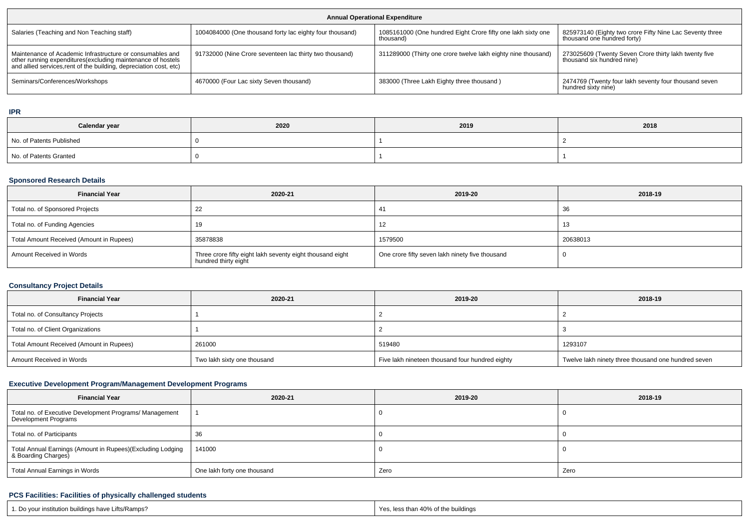| <b>Annual Operational Expenditure</b>                                                                                                                                                           |                                                          |                                                                           |                                                                                         |  |  |  |  |
|-------------------------------------------------------------------------------------------------------------------------------------------------------------------------------------------------|----------------------------------------------------------|---------------------------------------------------------------------------|-----------------------------------------------------------------------------------------|--|--|--|--|
| Salaries (Teaching and Non Teaching staff)                                                                                                                                                      | 1004084000 (One thousand forty lac eighty four thousand) | 1085161000 (One hundred Eight Crore fifty one lakh sixty one<br>thousand) | 825973140 (Eighty two crore Fifty Nine Lac Seventy three<br>thousand one hundred forty) |  |  |  |  |
| Maintenance of Academic Infrastructure or consumables and<br>other running expenditures (excluding maintenance of hostels<br>and allied services, rent of the building, depreciation cost, etc) | 91732000 (Nine Crore seventeen lac thirty two thousand)  | 311289000 (Thirty one crore twelve lakh eighty nine thousand)             | 273025609 (Twenty Seven Crore thirty lakh twenty five<br>thousand six hundred nine)     |  |  |  |  |
| Seminars/Conferences/Workshops                                                                                                                                                                  | 4670000 (Four Lac sixty Seven thousand)                  | 383000 (Three Lakh Eighty three thousand)                                 | 2474769 (Twenty four lakh seventy four thousand seven<br>hundred sixty nine)            |  |  |  |  |

**IPR**

| Calendar year            | 2020 | 2019 | 2018 |  |
|--------------------------|------|------|------|--|
| No. of Patents Published |      |      |      |  |
| No. of Patents Granted   |      |      |      |  |

### **Sponsored Research Details**

| <b>Financial Year</b>                    | 2020-21                                                                           | 2019-20                                         | 2018-19  |
|------------------------------------------|-----------------------------------------------------------------------------------|-------------------------------------------------|----------|
| Total no. of Sponsored Projects          |                                                                                   | 41                                              | -36      |
| Total no. of Funding Agencies            | 19                                                                                | 12                                              | -13      |
| Total Amount Received (Amount in Rupees) | 35878838                                                                          | 1579500                                         | 20638013 |
| Amount Received in Words                 | Three crore fifty eight lakh seventy eight thousand eight<br>hundred thirty eight | One crore fifty seven lakh ninety five thousand |          |

## **Consultancy Project Details**

| <b>Financial Year</b>                    | 2020-21                     | 2019-20                                         | 2018-19                                             |  |
|------------------------------------------|-----------------------------|-------------------------------------------------|-----------------------------------------------------|--|
| Total no. of Consultancy Projects        |                             |                                                 |                                                     |  |
| Total no. of Client Organizations        |                             |                                                 |                                                     |  |
| Total Amount Received (Amount in Rupees) | 261000                      | 519480                                          | 1293107                                             |  |
| Amount Received in Words                 | Two lakh sixty one thousand | Five lakh nineteen thousand four hundred eighty | Twelve lakh ninety three thousand one hundred seven |  |

## **Executive Development Program/Management Development Programs**

| <b>Financial Year</b>                                                             | 2020-21                     | 2019-20 | 2018-19 |  |  |
|-----------------------------------------------------------------------------------|-----------------------------|---------|---------|--|--|
| Total no. of Executive Development Programs/ Management<br>  Development Programs |                             |         |         |  |  |
| Total no. of Participants                                                         | 36                          |         |         |  |  |
| Total Annual Earnings (Amount in Rupees)(Excluding Lodging<br>& Boarding Charges) | 141000                      |         |         |  |  |
| Total Annual Earnings in Words                                                    | One lakh forty one thousand | Zero    | Zero    |  |  |

### **PCS Facilities: Facilities of physically challenged students**

| 1. Do your institution buildings have Lifts/Ramps? | Yes, less than 40% of the buildings |
|----------------------------------------------------|-------------------------------------|
|----------------------------------------------------|-------------------------------------|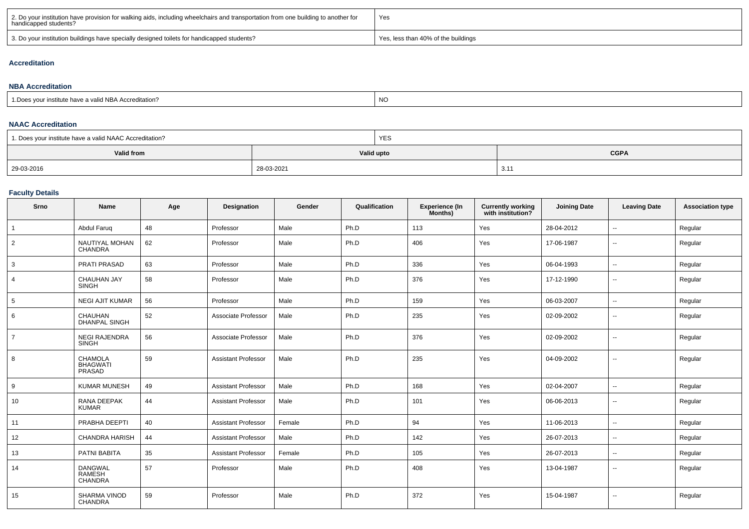| 2. Do your institution have provision for walking aids, including wheelchairs and transportation from one building to another for<br>handicapped students? | 'Yes                                |
|------------------------------------------------------------------------------------------------------------------------------------------------------------|-------------------------------------|
| 3. Do your institution buildings have specially designed toilets for handicapped students?                                                                 | Yes, less than 40% of the buildings |

### **Accreditation**

#### **NBA Accreditation**1.Does your institute have a valid NBA Accreditation?expression of the contract of the contract of the contract of the contract of the contract of the contract of the contract of the contract of the contract of the contract of the contract of the contract of the contract of

#### **NAAC Accreditation**

| 1. Does your institute have a valid NAAC Accreditation? |            | YES |             |
|---------------------------------------------------------|------------|-----|-------------|
| Valid from                                              | Valid upto |     | <b>CGPA</b> |
| 29-03-2016                                              | 28-03-2021 |     | 3.11        |

## **Faculty Details**

| Srno           | Name                                               | Age | Designation                | Gender | Qualification | Experience (In<br>Months) | <b>Currently working</b><br>with institution? | <b>Joining Date</b> | <b>Leaving Date</b>      | <b>Association type</b> |
|----------------|----------------------------------------------------|-----|----------------------------|--------|---------------|---------------------------|-----------------------------------------------|---------------------|--------------------------|-------------------------|
| $\overline{1}$ | Abdul Faruq                                        | 48  | Professor                  | Male   | Ph.D          | 113                       | Yes                                           | 28-04-2012          | $\overline{\phantom{a}}$ | Regular                 |
| $\overline{2}$ | NAUTIYAL MOHAN<br>CHANDRA                          | 62  | Professor                  | Male   | Ph.D          | 406                       | Yes                                           | 17-06-1987          | $\sim$                   | Regular                 |
| 3              | PRATI PRASAD                                       | 63  | Professor                  | Male   | Ph.D          | 336                       | Yes                                           | 06-04-1993          | $\sim$                   | Regular                 |
| $\overline{4}$ | <b>CHAUHAN JAY</b><br><b>SINGH</b>                 | 58  | Professor                  | Male   | Ph.D          | 376                       | Yes                                           | 17-12-1990          | $\sim$                   | Regular                 |
| 5              | <b>NEGI AJIT KUMAR</b>                             | 56  | Professor                  | Male   | Ph.D          | 159                       | Yes                                           | 06-03-2007          | $\sim$                   | Regular                 |
| 6              | <b>CHAUHAN</b><br><b>DHANPAL SINGH</b>             | 52  | Associate Professor        | Male   | Ph.D          | 235                       | Yes                                           | 02-09-2002          | $\sim$                   | Regular                 |
| $\overline{7}$ | <b>NEGI RAJENDRA</b><br><b>SINGH</b>               | 56  | Associate Professor        | Male   | Ph.D          | 376                       | Yes                                           | 02-09-2002          | $\overline{\phantom{a}}$ | Regular                 |
| 8              | <b>CHAMOLA</b><br><b>BHAGWATI</b><br><b>PRASAD</b> | 59  | <b>Assistant Professor</b> | Male   | Ph.D          | 235                       | Yes                                           | 04-09-2002          | $\sim$                   | Regular                 |
| 9              | <b>KUMAR MUNESH</b>                                | 49  | <b>Assistant Professor</b> | Male   | Ph.D          | 168                       | Yes                                           | 02-04-2007          | $\sim$                   | Regular                 |
| 10             | RANA DEEPAK<br><b>KUMAR</b>                        | 44  | <b>Assistant Professor</b> | Male   | Ph.D          | 101                       | Yes                                           | 06-06-2013          | $\overline{\phantom{a}}$ | Regular                 |
| 11             | PRABHA DEEPTI                                      | 40  | <b>Assistant Professor</b> | Female | Ph.D          | 94                        | Yes                                           | 11-06-2013          | $\overline{\phantom{a}}$ | Regular                 |
| 12             | <b>CHANDRA HARISH</b>                              | 44  | <b>Assistant Professor</b> | Male   | Ph.D          | 142                       | Yes                                           | 26-07-2013          | $\sim$                   | Regular                 |
| 13             | <b>PATNI BABITA</b>                                | 35  | <b>Assistant Professor</b> | Female | Ph.D          | 105                       | Yes                                           | 26-07-2013          | $\sim$                   | Regular                 |
| 14             | <b>DANGWAL</b><br><b>RAMESH</b><br><b>CHANDRA</b>  | 57  | Professor                  | Male   | Ph.D          | 408                       | Yes                                           | 13-04-1987          | $\sim$                   | Regular                 |
| 15             | <b>SHARMA VINOD</b><br><b>CHANDRA</b>              | 59  | Professor                  | Male   | Ph.D          | 372                       | Yes                                           | 15-04-1987          | $\overline{\phantom{a}}$ | Regular                 |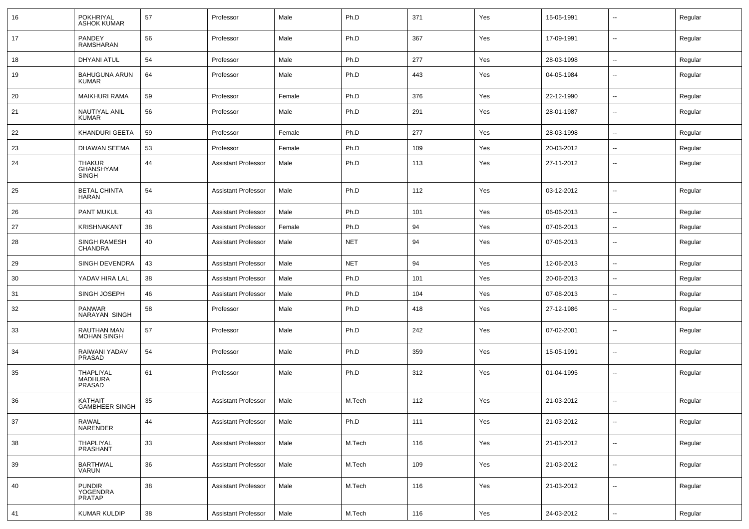| 16 | POKHRIYAL<br><b>ASHOK KUMAR</b>            | 57 | Professor                  | Male   | Ph.D       | 371 | Yes | 15-05-1991 | $\overline{\phantom{a}}$ | Regular |
|----|--------------------------------------------|----|----------------------------|--------|------------|-----|-----|------------|--------------------------|---------|
| 17 | PANDEY<br><b>RAMSHARAN</b>                 | 56 | Professor                  | Male   | Ph.D       | 367 | Yes | 17-09-1991 | $\sim$                   | Regular |
| 18 | <b>DHYANI ATUL</b>                         | 54 | Professor                  | Male   | Ph.D       | 277 | Yes | 28-03-1998 | $\overline{\phantom{a}}$ | Regular |
| 19 | <b>BAHUGUNA ARUN</b><br><b>KUMAR</b>       | 64 | Professor                  | Male   | Ph.D       | 443 | Yes | 04-05-1984 | $\sim$                   | Regular |
| 20 | <b>MAIKHURI RAMA</b>                       | 59 | Professor                  | Female | Ph.D       | 376 | Yes | 22-12-1990 | $\overline{\phantom{a}}$ | Regular |
| 21 | NAUTIYAL ANIL<br><b>KUMAR</b>              | 56 | Professor                  | Male   | Ph.D       | 291 | Yes | 28-01-1987 | $\overline{\phantom{a}}$ | Regular |
| 22 | KHANDURI GEETA                             | 59 | Professor                  | Female | Ph.D       | 277 | Yes | 28-03-1998 | $\sim$                   | Regular |
| 23 | DHAWAN SEEMA                               | 53 | Professor                  | Female | Ph.D       | 109 | Yes | 20-03-2012 | $\overline{\phantom{a}}$ | Regular |
| 24 | THAKUR<br>GHANSHYAM<br><b>SINGH</b>        | 44 | <b>Assistant Professor</b> | Male   | Ph.D       | 113 | Yes | 27-11-2012 | $\overline{\phantom{a}}$ | Regular |
| 25 | <b>BETAL CHINTA</b><br><b>HARAN</b>        | 54 | <b>Assistant Professor</b> | Male   | Ph.D       | 112 | Yes | 03-12-2012 | $\sim$                   | Regular |
| 26 | <b>PANT MUKUL</b>                          | 43 | <b>Assistant Professor</b> | Male   | Ph.D       | 101 | Yes | 06-06-2013 | $\overline{\phantom{a}}$ | Regular |
| 27 | KRISHNAKANT                                | 38 | <b>Assistant Professor</b> | Female | Ph.D       | 94  | Yes | 07-06-2013 | $\overline{\phantom{a}}$ | Regular |
| 28 | <b>SINGH RAMESH</b><br>CHANDRA             | 40 | <b>Assistant Professor</b> | Male   | <b>NET</b> | 94  | Yes | 07-06-2013 | $\sim$                   | Regular |
| 29 | <b>SINGH DEVENDRA</b>                      | 43 | <b>Assistant Professor</b> | Male   | <b>NET</b> | 94  | Yes | 12-06-2013 | $\overline{\phantom{a}}$ | Regular |
| 30 | YADAV HIRA LAL                             | 38 | <b>Assistant Professor</b> | Male   | Ph.D       | 101 | Yes | 20-06-2013 | $\overline{\phantom{a}}$ | Regular |
| 31 | SINGH JOSEPH                               | 46 | <b>Assistant Professor</b> | Male   | Ph.D       | 104 | Yes | 07-08-2013 | $\sim$                   | Regular |
| 32 | PANWAR<br>NARAYAN SINGH                    | 58 | Professor                  | Male   | Ph.D       | 418 | Yes | 27-12-1986 | $\overline{\phantom{a}}$ | Regular |
| 33 | RAUTHAN MAN<br><b>MOHAN SINGH</b>          | 57 | Professor                  | Male   | Ph.D       | 242 | Yes | 07-02-2001 | $\overline{\phantom{a}}$ | Regular |
| 34 | RAIWANI YADAV<br>PRASAD                    | 54 | Professor                  | Male   | Ph.D       | 359 | Yes | 15-05-1991 | $\overline{\phantom{a}}$ | Regular |
| 35 | THAPLIYAL<br><b>MADHURA</b><br>PRASAD      | 61 | Professor                  | Male   | Ph.D       | 312 | Yes | 01-04-1995 | $\overline{\phantom{a}}$ | Regular |
| 36 | KATHAIT<br><b>GAMBHEER SINGH</b>           | 35 | <b>Assistant Professor</b> | Male   | M.Tech     | 112 | Yes | 21-03-2012 | $\overline{a}$           | Regular |
| 37 | RAWAL<br>NARENDER                          | 44 | <b>Assistant Professor</b> | Male   | Ph.D       | 111 | Yes | 21-03-2012 | $\overline{\phantom{a}}$ | Regular |
| 38 | THAPLIYAL<br>PRASHANT                      | 33 | <b>Assistant Professor</b> | Male   | M.Tech     | 116 | Yes | 21-03-2012 | $\overline{\phantom{a}}$ | Regular |
| 39 | <b>BARTHWAL</b><br><b>VARUN</b>            | 36 | <b>Assistant Professor</b> | Male   | M.Tech     | 109 | Yes | 21-03-2012 | $\overline{\phantom{a}}$ | Regular |
| 40 | <b>PUNDIR</b><br>YOGENDRA<br><b>PRATAP</b> | 38 | <b>Assistant Professor</b> | Male   | M.Tech     | 116 | Yes | 21-03-2012 | $\overline{\phantom{a}}$ | Regular |
| 41 | <b>KUMAR KULDIP</b>                        | 38 | <b>Assistant Professor</b> | Male   | M.Tech     | 116 | Yes | 24-03-2012 | ÷.                       | Regular |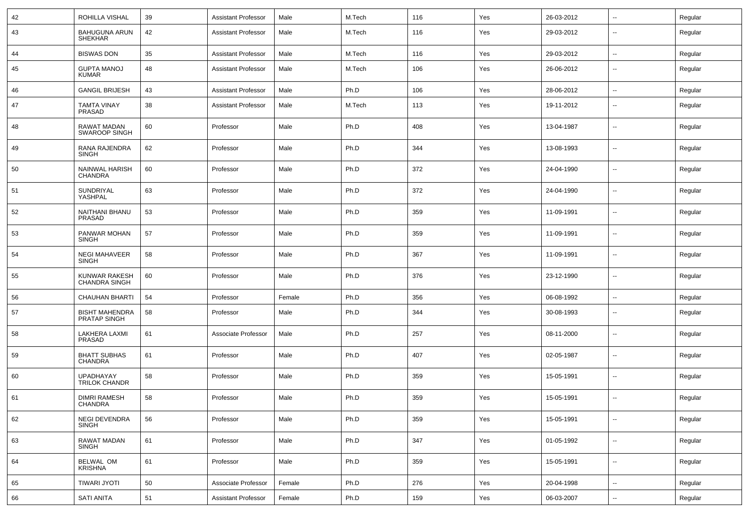| 42 | ROHILLA VISHAL                          | 39 | <b>Assistant Professor</b> | Male   | M.Tech | 116 | Yes | 26-03-2012 | --                       | Regular |
|----|-----------------------------------------|----|----------------------------|--------|--------|-----|-----|------------|--------------------------|---------|
| 43 | <b>BAHUGUNA ARUN</b><br><b>SHEKHAR</b>  | 42 | <b>Assistant Professor</b> | Male   | M.Tech | 116 | Yes | 29-03-2012 | --                       | Regular |
| 44 | <b>BISWAS DON</b>                       | 35 | <b>Assistant Professor</b> | Male   | M.Tech | 116 | Yes | 29-03-2012 | Ξ.                       | Regular |
| 45 | <b>GUPTA MANOJ</b><br><b>KUMAR</b>      | 48 | <b>Assistant Professor</b> | Male   | M.Tech | 106 | Yes | 26-06-2012 | --                       | Regular |
| 46 | <b>GANGIL BRIJESH</b>                   | 43 | <b>Assistant Professor</b> | Male   | Ph.D   | 106 | Yes | 28-06-2012 | $\overline{\phantom{a}}$ | Regular |
| 47 | <b>TAMTA VINAY</b><br>PRASAD            | 38 | <b>Assistant Professor</b> | Male   | M.Tech | 113 | Yes | 19-11-2012 | --                       | Regular |
| 48 | RAWAT MADAN<br>SWAROOP SINGH            | 60 | Professor                  | Male   | Ph.D   | 408 | Yes | 13-04-1987 | --                       | Regular |
| 49 | RANA RAJENDRA<br><b>SINGH</b>           | 62 | Professor                  | Male   | Ph.D   | 344 | Yes | 13-08-1993 | --                       | Regular |
| 50 | <b>NAINWAL HARISH</b><br><b>CHANDRA</b> | 60 | Professor                  | Male   | Ph.D   | 372 | Yes | 24-04-1990 | --                       | Regular |
| 51 | <b>SUNDRIYAL</b><br>YASHPAL             | 63 | Professor                  | Male   | Ph.D   | 372 | Yes | 24-04-1990 | --                       | Regular |
| 52 | NAITHANI BHANU<br>PRASAD                | 53 | Professor                  | Male   | Ph.D   | 359 | Yes | 11-09-1991 | --                       | Regular |
| 53 | PANWAR MOHAN<br><b>SINGH</b>            | 57 | Professor                  | Male   | Ph.D   | 359 | Yes | 11-09-1991 | --                       | Regular |
| 54 | <b>NEGI MAHAVEER</b><br><b>SINGH</b>    | 58 | Professor                  | Male   | Ph.D   | 367 | Yes | 11-09-1991 | --                       | Regular |
| 55 | KUNWAR RAKESH<br><b>CHANDRA SINGH</b>   | 60 | Professor                  | Male   | Ph.D   | 376 | Yes | 23-12-1990 | --                       | Regular |
| 56 | <b>CHAUHAN BHARTI</b>                   | 54 | Professor                  | Female | Ph.D   | 356 | Yes | 06-08-1992 | --                       | Regular |
| 57 | <b>BISHT MAHENDRA</b><br>PRATAP SINGH   | 58 | Professor                  | Male   | Ph.D   | 344 | Yes | 30-08-1993 | $\overline{a}$           | Regular |
| 58 | <b>LAKHERA LAXMI</b><br>PRASAD          | 61 | Associate Professor        | Male   | Ph.D   | 257 | Yes | 08-11-2000 | $\sim$                   | Regular |
| 59 | <b>BHATT SUBHAS</b><br><b>CHANDRA</b>   | 61 | Professor                  | Male   | Ph.D   | 407 | Yes | 02-05-1987 | $\overline{\phantom{a}}$ | Regular |
| 60 | UPADHAYAY<br><b>TRILOK CHANDR</b>       | 58 | Professor                  | Male   | Ph.D   | 359 | Yes | 15-05-1991 | $\sim$                   | Regular |
| 61 | <b>DIMRI RAMESH</b><br><b>CHANDRA</b>   | 58 | Professor                  | Male   | Ph.D   | 359 | Yes | 15-05-1991 | $\overline{\phantom{a}}$ | Regular |
| 62 | NEGI DEVENDRA<br><b>SINGH</b>           | 56 | Professor                  | Male   | Ph.D   | 359 | Yes | 15-05-1991 | $\overline{\phantom{a}}$ | Regular |
| 63 | <b>RAWAT MADAN</b><br><b>SINGH</b>      | 61 | Professor                  | Male   | Ph.D   | 347 | Yes | 01-05-1992 | $\ddot{\phantom{a}}$     | Regular |
| 64 | BELWAL OM<br><b>KRISHNA</b>             | 61 | Professor                  | Male   | Ph.D   | 359 | Yes | 15-05-1991 | $\sim$                   | Regular |
| 65 | <b>TIWARI JYOTI</b>                     | 50 | Associate Professor        | Female | Ph.D   | 276 | Yes | 20-04-1998 | $\ddot{\phantom{a}}$     | Regular |
| 66 | <b>SATI ANITA</b>                       | 51 | <b>Assistant Professor</b> | Female | Ph.D   | 159 | Yes | 06-03-2007 | $\sim$                   | Regular |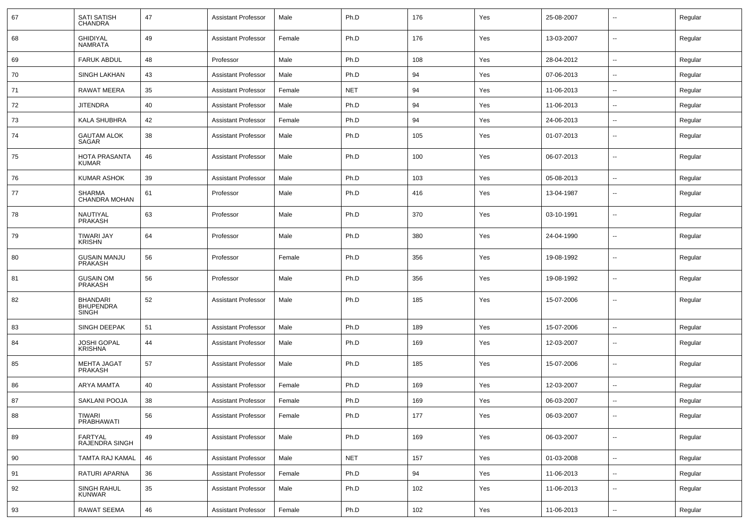| 67 | <b>SATI SATISH</b><br><b>CHANDRA</b>                | 47 | <b>Assistant Professor</b> | Male   | Ph.D       | 176 | Yes | 25-08-2007 | $\overline{\phantom{a}}$ | Regular |
|----|-----------------------------------------------------|----|----------------------------|--------|------------|-----|-----|------------|--------------------------|---------|
| 68 | <b>GHIDIYAL</b><br><b>NAMRATA</b>                   | 49 | Assistant Professor        | Female | Ph.D       | 176 | Yes | 13-03-2007 | $\overline{\phantom{a}}$ | Regular |
| 69 | <b>FARUK ABDUL</b>                                  | 48 | Professor                  | Male   | Ph.D       | 108 | Yes | 28-04-2012 | $\overline{\phantom{a}}$ | Regular |
| 70 | SINGH LAKHAN                                        | 43 | <b>Assistant Professor</b> | Male   | Ph.D       | 94  | Yes | 07-06-2013 | $\overline{\phantom{a}}$ | Regular |
| 71 | RAWAT MEERA                                         | 35 | <b>Assistant Professor</b> | Female | <b>NET</b> | 94  | Yes | 11-06-2013 | $\sim$                   | Regular |
| 72 | <b>JITENDRA</b>                                     | 40 | <b>Assistant Professor</b> | Male   | Ph.D       | 94  | Yes | 11-06-2013 | $\overline{\phantom{a}}$ | Regular |
| 73 | <b>KALA SHUBHRA</b>                                 | 42 | <b>Assistant Professor</b> | Female | Ph.D       | 94  | Yes | 24-06-2013 | $\overline{\phantom{a}}$ | Regular |
| 74 | <b>GAUTAM ALOK</b><br>SAGAR                         | 38 | <b>Assistant Professor</b> | Male   | Ph.D       | 105 | Yes | 01-07-2013 | $\overline{\phantom{a}}$ | Regular |
| 75 | HOTA PRASANTA<br><b>KUMAR</b>                       | 46 | <b>Assistant Professor</b> | Male   | Ph.D       | 100 | Yes | 06-07-2013 | $\sim$                   | Regular |
| 76 | <b>KUMAR ASHOK</b>                                  | 39 | <b>Assistant Professor</b> | Male   | Ph.D       | 103 | Yes | 05-08-2013 | $\overline{\phantom{a}}$ | Regular |
| 77 | <b>SHARMA</b><br>CHANDRA MOHAN                      | 61 | Professor                  | Male   | Ph.D       | 416 | Yes | 13-04-1987 | $\sim$                   | Regular |
| 78 | NAUTIYAL<br><b>PRAKASH</b>                          | 63 | Professor                  | Male   | Ph.D       | 370 | Yes | 03-10-1991 | $\sim$                   | Regular |
| 79 | <b>TIWARI JAY</b><br><b>KRISHN</b>                  | 64 | Professor                  | Male   | Ph.D       | 380 | Yes | 24-04-1990 | $\sim$                   | Regular |
| 80 | <b>GUSAIN MANJU</b><br><b>PRAKASH</b>               | 56 | Professor                  | Female | Ph.D       | 356 | Yes | 19-08-1992 | $\sim$                   | Regular |
| 81 | <b>GUSAIN OM</b><br><b>PRAKASH</b>                  | 56 | Professor                  | Male   | Ph.D       | 356 | Yes | 19-08-1992 | $\sim$                   | Regular |
| 82 | <b>BHANDARI</b><br><b>BHUPENDRA</b><br><b>SINGH</b> | 52 | <b>Assistant Professor</b> | Male   | Ph.D       | 185 | Yes | 15-07-2006 | $\sim$                   | Regular |
| 83 | SINGH DEEPAK                                        | 51 | <b>Assistant Professor</b> | Male   | Ph.D       | 189 | Yes | 15-07-2006 | $\overline{\phantom{a}}$ | Regular |
| 84 | <b>JOSHI GOPAL</b><br><b>KRISHNA</b>                | 44 | Assistant Professor        | Male   | Ph.D       | 169 | Yes | 12-03-2007 | $\sim$                   | Regular |
| 85 | MEHTA JAGAT<br><b>PRAKASH</b>                       | 57 | <b>Assistant Professor</b> | Male   | Ph.D       | 185 | Yes | 15-07-2006 | $\overline{\phantom{a}}$ | Regular |
| 86 | <b>ARYA MAMTA</b>                                   | 40 | <b>Assistant Professor</b> | Female | Ph.D       | 169 | Yes | 12-03-2007 | $\sim$                   | Regular |
| 87 | SAKLANI POOJA                                       | 38 | <b>Assistant Professor</b> | Female | Ph.D       | 169 | Yes | 06-03-2007 | $\overline{\phantom{a}}$ | Regular |
| 88 | TIWARI<br>PRABHAWATI                                | 56 | <b>Assistant Professor</b> | Female | Ph.D       | 177 | Yes | 06-03-2007 | $\overline{\phantom{a}}$ | Regular |
| 89 | FARTYAL<br>RAJENDRA SINGH                           | 49 | <b>Assistant Professor</b> | Male   | Ph.D       | 169 | Yes | 06-03-2007 | $\overline{\phantom{a}}$ | Regular |
| 90 | TAMTA RAJ KAMAL                                     | 46 | <b>Assistant Professor</b> | Male   | <b>NET</b> | 157 | Yes | 01-03-2008 | $\sim$                   | Regular |
| 91 | RATURI APARNA                                       | 36 | <b>Assistant Professor</b> | Female | Ph.D       | 94  | Yes | 11-06-2013 | $\overline{\phantom{a}}$ | Regular |
| 92 | SINGH RAHUL<br>KUNWAR                               | 35 | <b>Assistant Professor</b> | Male   | Ph.D       | 102 | Yes | 11-06-2013 | $\overline{\phantom{a}}$ | Regular |
| 93 | <b>RAWAT SEEMA</b>                                  | 46 | <b>Assistant Professor</b> | Female | Ph.D       | 102 | Yes | 11-06-2013 | $\overline{\phantom{a}}$ | Regular |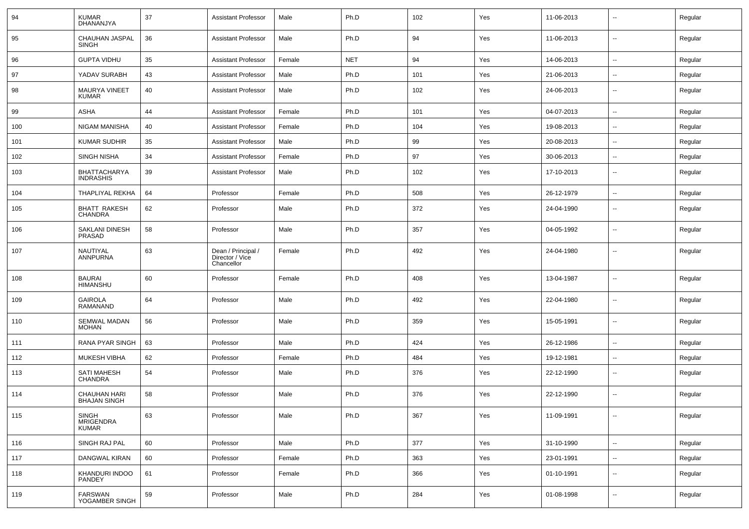| 94  | <b>KUMAR</b><br><b>DHANANJYA</b>           | 37 | <b>Assistant Professor</b>                          | Male   | Ph.D       | 102 | Yes | 11-06-2013 | $\overline{\phantom{a}}$ | Regular |
|-----|--------------------------------------------|----|-----------------------------------------------------|--------|------------|-----|-----|------------|--------------------------|---------|
| 95  | CHAUHAN JASPAL<br><b>SINGH</b>             | 36 | <b>Assistant Professor</b>                          | Male   | Ph.D       | 94  | Yes | 11-06-2013 | $\sim$                   | Regular |
| 96  | <b>GUPTA VIDHU</b>                         | 35 | <b>Assistant Professor</b>                          | Female | <b>NET</b> | 94  | Yes | 14-06-2013 | $\sim$                   | Regular |
| 97  | YADAV SURABH                               | 43 | <b>Assistant Professor</b>                          | Male   | Ph.D       | 101 | Yes | 21-06-2013 | -−                       | Regular |
| 98  | MAURYA VINEET<br><b>KUMAR</b>              | 40 | <b>Assistant Professor</b>                          | Male   | Ph.D       | 102 | Yes | 24-06-2013 | --                       | Regular |
| 99  | <b>ASHA</b>                                | 44 | <b>Assistant Professor</b>                          | Female | Ph.D       | 101 | Yes | 04-07-2013 | $\overline{\phantom{a}}$ | Regular |
| 100 | <b>NIGAM MANISHA</b>                       | 40 | <b>Assistant Professor</b>                          | Female | Ph.D       | 104 | Yes | 19-08-2013 | $\overline{\phantom{a}}$ | Regular |
| 101 | <b>KUMAR SUDHIR</b>                        | 35 | <b>Assistant Professor</b>                          | Male   | Ph.D       | 99  | Yes | 20-08-2013 | $\overline{\phantom{a}}$ | Regular |
| 102 | <b>SINGH NISHA</b>                         | 34 | <b>Assistant Professor</b>                          | Female | Ph.D       | 97  | Yes | 30-06-2013 | $\sim$                   | Regular |
| 103 | BHATTACHARYA<br><b>INDRASHIS</b>           | 39 | <b>Assistant Professor</b>                          | Male   | Ph.D       | 102 | Yes | 17-10-2013 | $\sim$                   | Regular |
| 104 | THAPLIYAL REKHA                            | 64 | Professor                                           | Female | Ph.D       | 508 | Yes | 26-12-1979 | ⊷.                       | Regular |
| 105 | <b>BHATT RAKESH</b><br><b>CHANDRA</b>      | 62 | Professor                                           | Male   | Ph.D       | 372 | Yes | 24-04-1990 | $\overline{\phantom{a}}$ | Regular |
| 106 | SAKLANI DINESH<br>PRASAD                   | 58 | Professor                                           | Male   | Ph.D       | 357 | Yes | 04-05-1992 | $\overline{\phantom{a}}$ | Regular |
| 107 | NAUTIYAL<br>ANNPURNA                       | 63 | Dean / Principal /<br>Director / Vice<br>Chancellor | Female | Ph.D       | 492 | Yes | 24-04-1980 | $\sim$                   | Regular |
| 108 | <b>BAURAI</b><br><b>HIMANSHU</b>           | 60 | Professor                                           | Female | Ph.D       | 408 | Yes | 13-04-1987 | $\overline{\phantom{a}}$ | Regular |
| 109 | <b>GAIROLA</b><br><b>RAMANAND</b>          | 64 | Professor                                           | Male   | Ph.D       | 492 | Yes | 22-04-1980 | $\overline{\phantom{a}}$ | Regular |
| 110 | SEMWAL MADAN<br><b>MOHAN</b>               | 56 | Professor                                           | Male   | Ph.D       | 359 | Yes | 15-05-1991 | ⊷.                       | Regular |
| 111 | RANA PYAR SINGH                            | 63 | Professor                                           | Male   | Ph.D       | 424 | Yes | 26-12-1986 | н.                       | Regular |
| 112 | MUKESH VIBHA                               | 62 | Professor                                           | Female | Ph.D       | 484 | Yes | 19-12-1981 | $\sim$                   | Regular |
| 113 | <b>SATI MAHESH</b><br>CHANDRA              | 54 | Professor                                           | Male   | Ph.D       | 376 | Yes | 22-12-1990 | $\overline{\phantom{a}}$ | Regular |
| 114 | <b>CHAUHAN HARI</b><br><b>BHAJAN SINGH</b> | 58 | Professor                                           | Male   | Ph.D       | 376 | Yes | 22-12-1990 | --                       | Regular |
| 115 | SINGH<br>MRIGENDRA<br><b>KUMAR</b>         | 63 | Professor                                           | Male   | Ph.D       | 367 | Yes | 11-09-1991 | $\overline{\phantom{a}}$ | Regular |
| 116 | SINGH RAJ PAL                              | 60 | Professor                                           | Male   | Ph.D       | 377 | Yes | 31-10-1990 | $\sim$                   | Regular |
| 117 | <b>DANGWAL KIRAN</b>                       | 60 | Professor                                           | Female | Ph.D       | 363 | Yes | 23-01-1991 | $\overline{\phantom{a}}$ | Regular |
| 118 | KHANDURI INDOO<br>PANDEY                   | 61 | Professor                                           | Female | Ph.D       | 366 | Yes | 01-10-1991 | н.                       | Regular |
| 119 | FARSWAN<br>YOGAMBER SINGH                  | 59 | Professor                                           | Male   | Ph.D       | 284 | Yes | 01-08-1998 | --                       | Regular |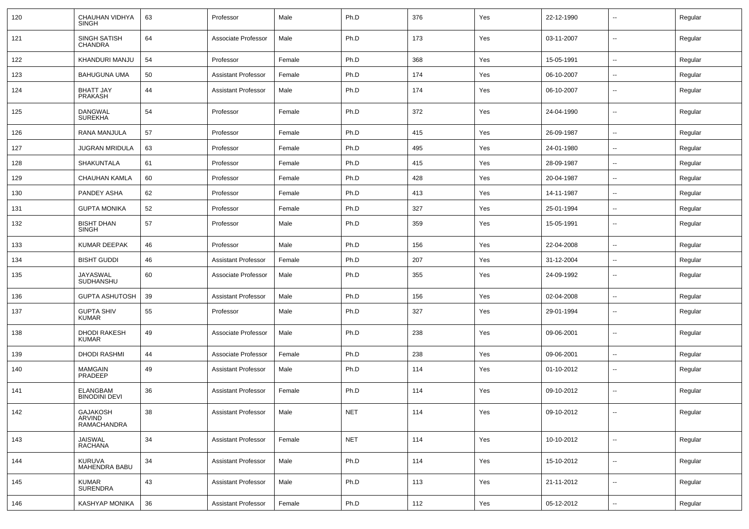| 120 | CHAUHAN VIDHYA<br><b>SINGH</b>           | 63 | Professor                  | Male   | Ph.D       | 376 | Yes | 22-12-1990 | $\overline{\phantom{a}}$ | Regular |
|-----|------------------------------------------|----|----------------------------|--------|------------|-----|-----|------------|--------------------------|---------|
| 121 | SINGH SATISH<br><b>CHANDRA</b>           | 64 | Associate Professor        | Male   | Ph.D       | 173 | Yes | 03-11-2007 | $\sim$                   | Regular |
| 122 | KHANDURI MANJU                           | 54 | Professor                  | Female | Ph.D       | 368 | Yes | 15-05-1991 | $\sim$                   | Regular |
| 123 | <b>BAHUGUNA UMA</b>                      | 50 | <b>Assistant Professor</b> | Female | Ph.D       | 174 | Yes | 06-10-2007 | $\overline{\phantom{a}}$ | Regular |
| 124 | <b>BHATT JAY</b><br>PRAKASH              | 44 | <b>Assistant Professor</b> | Male   | Ph.D       | 174 | Yes | 06-10-2007 | $\overline{\phantom{a}}$ | Regular |
| 125 | <b>DANGWAL</b><br><b>SUREKHA</b>         | 54 | Professor                  | Female | Ph.D       | 372 | Yes | 24-04-1990 | $\overline{\phantom{a}}$ | Regular |
| 126 | <b>RANA MANJULA</b>                      | 57 | Professor                  | Female | Ph.D       | 415 | Yes | 26-09-1987 | $\overline{\phantom{a}}$ | Regular |
| 127 | <b>JUGRAN MRIDULA</b>                    | 63 | Professor                  | Female | Ph.D       | 495 | Yes | 24-01-1980 | $\overline{\phantom{a}}$ | Regular |
| 128 | SHAKUNTALA                               | 61 | Professor                  | Female | Ph.D       | 415 | Yes | 28-09-1987 |                          | Regular |
| 129 | CHAUHAN KAMLA                            | 60 | Professor                  | Female | Ph.D       | 428 | Yes | 20-04-1987 | $\sim$                   | Regular |
| 130 | PANDEY ASHA                              | 62 | Professor                  | Female | Ph.D       | 413 | Yes | 14-11-1987 | $\sim$                   | Regular |
| 131 | <b>GUPTA MONIKA</b>                      | 52 | Professor                  | Female | Ph.D       | 327 | Yes | 25-01-1994 |                          | Regular |
| 132 | <b>BISHT DHAN</b><br><b>SINGH</b>        | 57 | Professor                  | Male   | Ph.D       | 359 | Yes | 15-05-1991 | --                       | Regular |
| 133 | <b>KUMAR DEEPAK</b>                      | 46 | Professor                  | Male   | Ph.D       | 156 | Yes | 22-04-2008 | $\overline{\phantom{a}}$ | Regular |
| 134 | <b>BISHT GUDDI</b>                       | 46 | <b>Assistant Professor</b> | Female | Ph.D       | 207 | Yes | 31-12-2004 | $\overline{\phantom{a}}$ | Regular |
| 135 | JAYASWAL<br>SUDHANSHU                    | 60 | Associate Professor        | Male   | Ph.D       | 355 | Yes | 24-09-1992 | --                       | Regular |
| 136 | <b>GUPTA ASHUTOSH</b>                    | 39 | <b>Assistant Professor</b> | Male   | Ph.D       | 156 | Yes | 02-04-2008 | $\overline{\phantom{a}}$ | Regular |
| 137 | <b>GUPTA SHIV</b><br><b>KUMAR</b>        | 55 | Professor                  | Male   | Ph.D       | 327 | Yes | 29-01-1994 | $\sim$                   | Regular |
| 138 | <b>DHODI RAKESH</b><br><b>KUMAR</b>      | 49 | Associate Professor        | Male   | Ph.D       | 238 | Yes | 09-06-2001 | $\overline{a}$           | Regular |
| 139 | <b>DHODI RASHMI</b>                      | 44 | Associate Professor        | Female | Ph.D       | 238 | Yes | 09-06-2001 | $\overline{\phantom{a}}$ | Regular |
| 140 | <b>MAMGAIN</b><br>PRADEEP                | 49 | <b>Assistant Professor</b> | Male   | Ph.D       | 114 | Yes | 01-10-2012 | ⊷.                       | Regular |
| 141 | <b>ELANGBAM</b><br><b>BINODINI DEVI</b>  | 36 | <b>Assistant Professor</b> | Female | Ph.D       | 114 | Yes | 09-10-2012 | $\sim$                   | Regular |
| 142 | GAJAKOSH<br>ARVIND<br><b>RAMACHANDRA</b> | 38 | Assistant Professor        | Male   | <b>NET</b> | 114 | Yes | 09-10-2012 | ۰.                       | Regular |
| 143 | JAISWAL<br>RACHANA                       | 34 | <b>Assistant Professor</b> | Female | <b>NET</b> | 114 | Yes | 10-10-2012 | $\overline{\phantom{a}}$ | Regular |
| 144 | <b>KURUVA</b><br>MAHENDRA BABU           | 34 | <b>Assistant Professor</b> | Male   | Ph.D       | 114 | Yes | 15-10-2012 | Ξ.                       | Regular |
| 145 | KUMAR<br>SURENDRA                        | 43 | <b>Assistant Professor</b> | Male   | Ph.D       | 113 | Yes | 21-11-2012 | $\sim$                   | Regular |
| 146 | KASHYAP MONIKA                           | 36 | <b>Assistant Professor</b> | Female | Ph.D       | 112 | Yes | 05-12-2012 | $\overline{\phantom{a}}$ | Regular |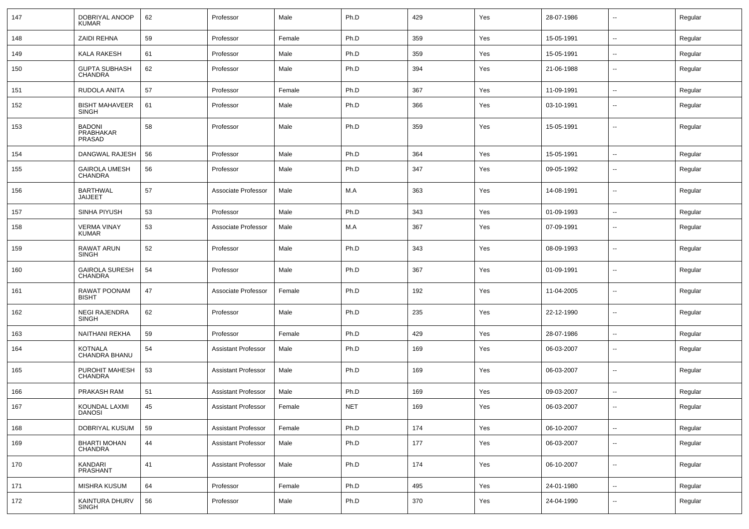| 147 | DOBRIYAL ANOOP<br><b>KUMAR</b>          | 62 | Professor                  | Male   | Ph.D       | 429 | Yes | 28-07-1986 | $\mathbf{u}$             | Regular |
|-----|-----------------------------------------|----|----------------------------|--------|------------|-----|-----|------------|--------------------------|---------|
| 148 | <b>ZAIDI REHNA</b>                      | 59 | Professor                  | Female | Ph.D       | 359 | Yes | 15-05-1991 | $\sim$                   | Regular |
| 149 | <b>KALA RAKESH</b>                      | 61 | Professor                  | Male   | Ph.D       | 359 | Yes | 15-05-1991 | $\sim$                   | Regular |
| 150 | <b>GUPTA SUBHASH</b><br><b>CHANDRA</b>  | 62 | Professor                  | Male   | Ph.D       | 394 | Yes | 21-06-1988 | $\overline{\phantom{a}}$ | Regular |
| 151 | RUDOLA ANITA                            | 57 | Professor                  | Female | Ph.D       | 367 | Yes | 11-09-1991 | $\overline{\phantom{a}}$ | Regular |
| 152 | <b>BISHT MAHAVEER</b><br><b>SINGH</b>   | 61 | Professor                  | Male   | Ph.D       | 366 | Yes | 03-10-1991 | $\overline{\phantom{a}}$ | Regular |
| 153 | <b>BADONI</b><br>PRABHAKAR<br>PRASAD    | 58 | Professor                  | Male   | Ph.D       | 359 | Yes | 15-05-1991 | $\overline{\phantom{a}}$ | Regular |
| 154 | DANGWAL RAJESH                          | 56 | Professor                  | Male   | Ph.D       | 364 | Yes | 15-05-1991 | $\mathbf{u}$             | Regular |
| 155 | GAIROLA UMESH<br>CHANDRA                | 56 | Professor                  | Male   | Ph.D       | 347 | Yes | 09-05-1992 | $\overline{\phantom{a}}$ | Regular |
| 156 | <b>BARTHWAL</b><br><b>JAIJEET</b>       | 57 | Associate Professor        | Male   | M.A        | 363 | Yes | 14-08-1991 | $\overline{\phantom{a}}$ | Regular |
| 157 | SINHA PIYUSH                            | 53 | Professor                  | Male   | Ph.D       | 343 | Yes | 01-09-1993 | $\overline{\phantom{a}}$ | Regular |
| 158 | <b>VERMA VINAY</b><br><b>KUMAR</b>      | 53 | Associate Professor        | Male   | M.A        | 367 | Yes | 07-09-1991 | $\overline{\phantom{a}}$ | Regular |
| 159 | <b>RAWAT ARUN</b><br>SINGH              | 52 | Professor                  | Male   | Ph.D       | 343 | Yes | 08-09-1993 | $\overline{\phantom{a}}$ | Regular |
| 160 | <b>GAIROLA SURESH</b><br><b>CHANDRA</b> | 54 | Professor                  | Male   | Ph.D       | 367 | Yes | 01-09-1991 | $\overline{\phantom{a}}$ | Regular |
| 161 | RAWAT POONAM<br><b>BISHT</b>            | 47 | Associate Professor        | Female | Ph.D       | 192 | Yes | 11-04-2005 | $\overline{\phantom{a}}$ | Regular |
| 162 | <b>NEGI RAJENDRA</b><br>SINGH           | 62 | Professor                  | Male   | Ph.D       | 235 | Yes | 22-12-1990 | $\overline{\phantom{a}}$ | Regular |
| 163 | NAITHANI REKHA                          | 59 | Professor                  | Female | Ph.D       | 429 | Yes | 28-07-1986 | $\mathbf{u}$             | Regular |
| 164 | KOTNALA<br>CHANDRA BHANU                | 54 | <b>Assistant Professor</b> | Male   | Ph.D       | 169 | Yes | 06-03-2007 | --                       | Regular |
| 165 | PUROHIT MAHESH<br><b>CHANDRA</b>        | 53 | Assistant Professor        | Male   | Ph.D       | 169 | Yes | 06-03-2007 | $\overline{\phantom{a}}$ | Regular |
| 166 | PRAKASH RAM                             | 51 | <b>Assistant Professor</b> | Male   | Ph.D       | 169 | Yes | 09-03-2007 | --                       | Regular |
| 167 | KOUNDAL LAXMI<br><b>DANOSI</b>          | 45 | Assistant Professor        | Female | <b>NET</b> | 169 | Yes | 06-03-2007 |                          | Regular |
| 168 | DOBRIYAL KUSUM                          | 59 | <b>Assistant Professor</b> | Female | Ph.D       | 174 | Yes | 06-10-2007 | $\sim$                   | Regular |
| 169 | <b>BHARTI MOHAN</b><br><b>CHANDRA</b>   | 44 | <b>Assistant Professor</b> | Male   | Ph.D       | 177 | Yes | 06-03-2007 | $\sim$                   | Regular |
| 170 | KANDARI<br>PRASHANT                     | 41 | <b>Assistant Professor</b> | Male   | Ph.D       | 174 | Yes | 06-10-2007 | $\sim$                   | Regular |
| 171 | MISHRA KUSUM                            | 64 | Professor                  | Female | Ph.D       | 495 | Yes | 24-01-1980 | $\sim$                   | Regular |
| 172 | KAINTURA DHURV<br>SINGH                 | 56 | Professor                  | Male   | Ph.D       | 370 | Yes | 24-04-1990 | $\sim$                   | Regular |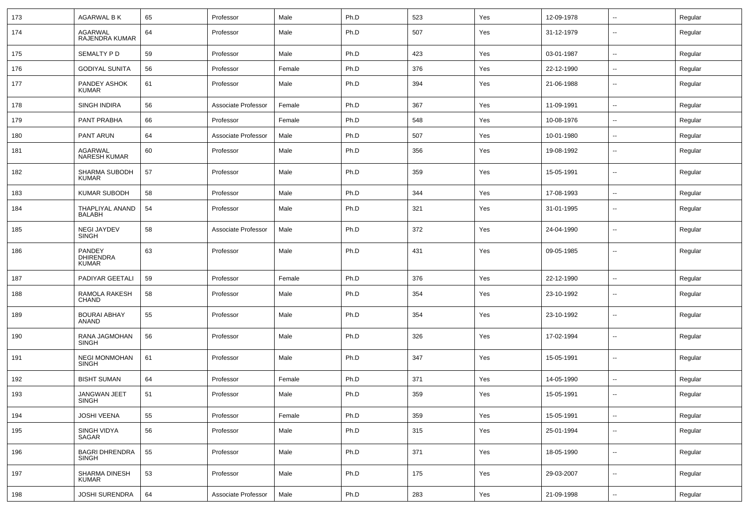| 173 | <b>AGARWAL B K</b>                         | 65 | Professor           | Male   | Ph.D | 523 | Yes | 12-09-1978 | $\sim$                   | Regular |
|-----|--------------------------------------------|----|---------------------|--------|------|-----|-----|------------|--------------------------|---------|
| 174 | AGARWAL<br>RAJENDRA KUMAR                  | 64 | Professor           | Male   | Ph.D | 507 | Yes | 31-12-1979 | $\overline{\phantom{a}}$ | Regular |
| 175 | SEMALTY P D                                | 59 | Professor           | Male   | Ph.D | 423 | Yes | 03-01-1987 | $\overline{\phantom{a}}$ | Regular |
| 176 | <b>GODIYAL SUNITA</b>                      | 56 | Professor           | Female | Ph.D | 376 | Yes | 22-12-1990 | $\overline{\phantom{a}}$ | Regular |
| 177 | PANDEY ASHOK<br><b>KUMAR</b>               | 61 | Professor           | Male   | Ph.D | 394 | Yes | 21-06-1988 | $\overline{\phantom{a}}$ | Regular |
| 178 | <b>SINGH INDIRA</b>                        | 56 | Associate Professor | Female | Ph.D | 367 | Yes | 11-09-1991 | $\sim$                   | Regular |
| 179 | PANT PRABHA                                | 66 | Professor           | Female | Ph.D | 548 | Yes | 10-08-1976 | $\sim$                   | Regular |
| 180 | PANT ARUN                                  | 64 | Associate Professor | Male   | Ph.D | 507 | Yes | 10-01-1980 | $\sim$                   | Regular |
| 181 | AGARWAL<br>NARESH KUMAR                    | 60 | Professor           | Male   | Ph.D | 356 | Yes | 19-08-1992 | $\sim$                   | Regular |
| 182 | SHARMA SUBODH<br><b>KUMAR</b>              | 57 | Professor           | Male   | Ph.D | 359 | Yes | 15-05-1991 | $\sim$                   | Regular |
| 183 | KUMAR SUBODH                               | 58 | Professor           | Male   | Ph.D | 344 | Yes | 17-08-1993 | $\sim$                   | Regular |
| 184 | THAPLIYAL ANAND<br><b>BALABH</b>           | 54 | Professor           | Male   | Ph.D | 321 | Yes | 31-01-1995 | --                       | Regular |
| 185 | <b>NEGI JAYDEV</b><br><b>SINGH</b>         | 58 | Associate Professor | Male   | Ph.D | 372 | Yes | 24-04-1990 | $\overline{\phantom{a}}$ | Regular |
| 186 | PANDEY<br><b>DHIRENDRA</b><br><b>KUMAR</b> | 63 | Professor           | Male   | Ph.D | 431 | Yes | 09-05-1985 | $\overline{\phantom{a}}$ | Regular |
| 187 | PADIYAR GEETALI                            | 59 | Professor           | Female | Ph.D | 376 | Yes | 22-12-1990 | $\sim$                   | Regular |
| 188 | RAMOLA RAKESH<br><b>CHAND</b>              | 58 | Professor           | Male   | Ph.D | 354 | Yes | 23-10-1992 | $\overline{\phantom{a}}$ | Regular |
| 189 | <b>BOURAI ABHAY</b><br><b>ANAND</b>        | 55 | Professor           | Male   | Ph.D | 354 | Yes | 23-10-1992 | --                       | Regular |
| 190 | RANA JAGMOHAN<br><b>SINGH</b>              | 56 | Professor           | Male   | Ph.D | 326 | Yes | 17-02-1994 | $\overline{\phantom{a}}$ | Regular |
| 191 | <b>NEGI MONMOHAN</b><br><b>SINGH</b>       | 61 | Professor           | Male   | Ph.D | 347 | Yes | 15-05-1991 | $\overline{\phantom{a}}$ | Regular |
| 192 | <b>BISHT SUMAN</b>                         | 64 | Professor           | Female | Ph.D | 371 | Yes | 14-05-1990 | $\overline{\phantom{a}}$ | Regular |
| 193 | <b>JANGWAN JEET</b><br><b>SINGH</b>        | 51 | Professor           | Male   | Ph.D | 359 | Yes | 15-05-1991 | $\overline{\phantom{a}}$ | Regular |
| 194 | <b>JOSHI VEENA</b>                         | 55 | Professor           | Female | Ph.D | 359 | Yes | 15-05-1991 | $\overline{\phantom{a}}$ | Regular |
| 195 | SINGH VIDYA<br>SAGAR                       | 56 | Professor           | Male   | Ph.D | 315 | Yes | 25-01-1994 | $\sim$                   | Regular |
| 196 | <b>BAGRI DHRENDRA</b><br><b>SINGH</b>      | 55 | Professor           | Male   | Ph.D | 371 | Yes | 18-05-1990 | $\sim$                   | Regular |
| 197 | SHARMA DINESH<br><b>KUMAR</b>              | 53 | Professor           | Male   | Ph.D | 175 | Yes | 29-03-2007 | $\sim$                   | Regular |
| 198 | JOSHI SURENDRA                             | 64 | Associate Professor | Male   | Ph.D | 283 | Yes | 21-09-1998 | $\sim$                   | Regular |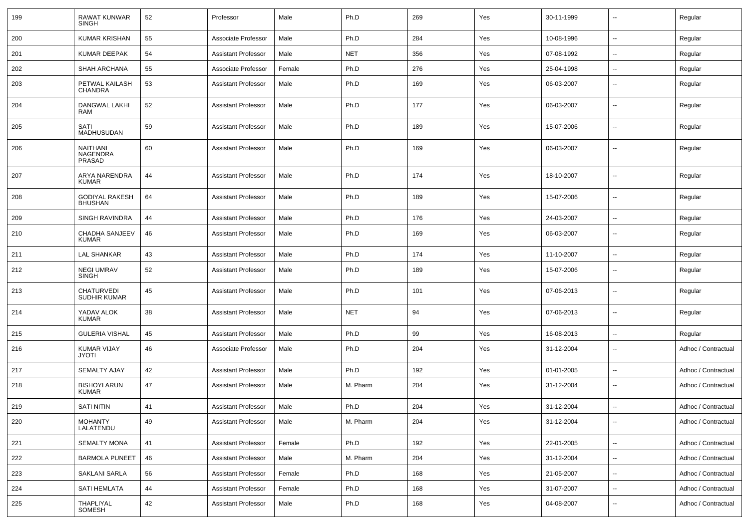| 199 | RAWAT KUNWAR<br><b>SINGH</b>            | 52 | Professor                  | Male   | Ph.D       | 269 | Yes | 30-11-1999 | $\overline{\phantom{a}}$ | Regular             |
|-----|-----------------------------------------|----|----------------------------|--------|------------|-----|-----|------------|--------------------------|---------------------|
| 200 | <b>KUMAR KRISHAN</b>                    | 55 | Associate Professor        | Male   | Ph.D       | 284 | Yes | 10-08-1996 | $\sim$                   | Regular             |
| 201 | KUMAR DEEPAK                            | 54 | <b>Assistant Professor</b> | Male   | <b>NET</b> | 356 | Yes | 07-08-1992 | ⊷.                       | Regular             |
| 202 | SHAH ARCHANA                            | 55 | Associate Professor        | Female | Ph.D       | 276 | Yes | 25-04-1998 | $\overline{\phantom{a}}$ | Regular             |
| 203 | PETWAL KAILASH<br><b>CHANDRA</b>        | 53 | Assistant Professor        | Male   | Ph.D       | 169 | Yes | 06-03-2007 | --                       | Regular             |
| 204 | <b>DANGWAL LAKHI</b><br>RAM             | 52 | <b>Assistant Professor</b> | Male   | Ph.D       | 177 | Yes | 06-03-2007 | --                       | Regular             |
| 205 | SATI<br>MADHUSUDAN                      | 59 | <b>Assistant Professor</b> | Male   | Ph.D       | 189 | Yes | 15-07-2006 | $\overline{\phantom{a}}$ | Regular             |
| 206 | <b>NAITHANI</b><br>NAGENDRA<br>PRASAD   | 60 | <b>Assistant Professor</b> | Male   | Ph.D       | 169 | Yes | 06-03-2007 | --                       | Regular             |
| 207 | ARYA NARENDRA<br><b>KUMAR</b>           | 44 | <b>Assistant Professor</b> | Male   | Ph.D       | 174 | Yes | 18-10-2007 | $\overline{\phantom{a}}$ | Regular             |
| 208 | <b>GODIYAL RAKESH</b><br><b>BHUSHAN</b> | 64 | <b>Assistant Professor</b> | Male   | Ph.D       | 189 | Yes | 15-07-2006 | $\overline{\phantom{a}}$ | Regular             |
| 209 | SINGH RAVINDRA                          | 44 | <b>Assistant Professor</b> | Male   | Ph.D       | 176 | Yes | 24-03-2007 | $\overline{\phantom{a}}$ | Regular             |
| 210 | CHADHA SANJEEV<br><b>KUMAR</b>          | 46 | <b>Assistant Professor</b> | Male   | Ph.D       | 169 | Yes | 06-03-2007 | $\overline{\phantom{a}}$ | Regular             |
| 211 | <b>LAL SHANKAR</b>                      | 43 | <b>Assistant Professor</b> | Male   | Ph.D       | 174 | Yes | 11-10-2007 | $\overline{\phantom{a}}$ | Regular             |
| 212 | <b>NEGI UMRAV</b><br><b>SINGH</b>       | 52 | <b>Assistant Professor</b> | Male   | Ph.D       | 189 | Yes | 15-07-2006 | $\overline{\phantom{a}}$ | Regular             |
| 213 | CHATURVEDI<br><b>SUDHIR KUMAR</b>       | 45 | <b>Assistant Professor</b> | Male   | Ph.D       | 101 | Yes | 07-06-2013 | $\overline{\phantom{a}}$ | Regular             |
| 214 | YADAV ALOK<br><b>KUMAR</b>              | 38 | <b>Assistant Professor</b> | Male   | <b>NET</b> | 94  | Yes | 07-06-2013 | $\overline{\phantom{a}}$ | Regular             |
| 215 | <b>GULERIA VISHAL</b>                   | 45 | <b>Assistant Professor</b> | Male   | Ph.D       | 99  | Yes | 16-08-2013 | $\overline{\phantom{a}}$ | Regular             |
| 216 | <b>KUMAR VIJAY</b><br><b>JYOTI</b>      | 46 | Associate Professor        | Male   | Ph.D       | 204 | Yes | 31-12-2004 | --                       | Adhoc / Contractual |
| 217 | <b>SEMALTY AJAY</b>                     | 42 | <b>Assistant Professor</b> | Male   | Ph.D       | 192 | Yes | 01-01-2005 |                          | Adhoc / Contractual |
| 218 | <b>BISHOYI ARUN</b><br><b>KUMAR</b>     | 47 | <b>Assistant Professor</b> | Male   | M. Pharm   | 204 | Yes | 31-12-2004 | $\overline{\phantom{a}}$ | Adhoc / Contractual |
| 219 | SATI NITIN                              | 41 | Assistant Professor        | Male   | Ph.D       | 204 | Yes | 31-12-2004 |                          | Adhoc / Contractual |
| 220 | MOHANTY<br>LALATENDU                    | 49 | <b>Assistant Professor</b> | Male   | M. Pharm   | 204 | Yes | 31-12-2004 | $\sim$                   | Adhoc / Contractual |
| 221 | SEMALTY MONA                            | 41 | <b>Assistant Professor</b> | Female | Ph.D       | 192 | Yes | 22-01-2005 | $\sim$                   | Adhoc / Contractual |
| 222 | <b>BARMOLA PUNEET</b>                   | 46 | <b>Assistant Professor</b> | Male   | M. Pharm   | 204 | Yes | 31-12-2004 | $\sim$                   | Adhoc / Contractual |
| 223 | SAKLANI SARLA                           | 56 | <b>Assistant Professor</b> | Female | Ph.D       | 168 | Yes | 21-05-2007 | $\overline{\phantom{a}}$ | Adhoc / Contractual |
| 224 | SATI HEMLATA                            | 44 | <b>Assistant Professor</b> | Female | Ph.D       | 168 | Yes | 31-07-2007 | н.                       | Adhoc / Contractual |
| 225 | THAPLIYAL<br>SOMESH                     | 42 | <b>Assistant Professor</b> | Male   | Ph.D       | 168 | Yes | 04-08-2007 | $\overline{\phantom{a}}$ | Adhoc / Contractual |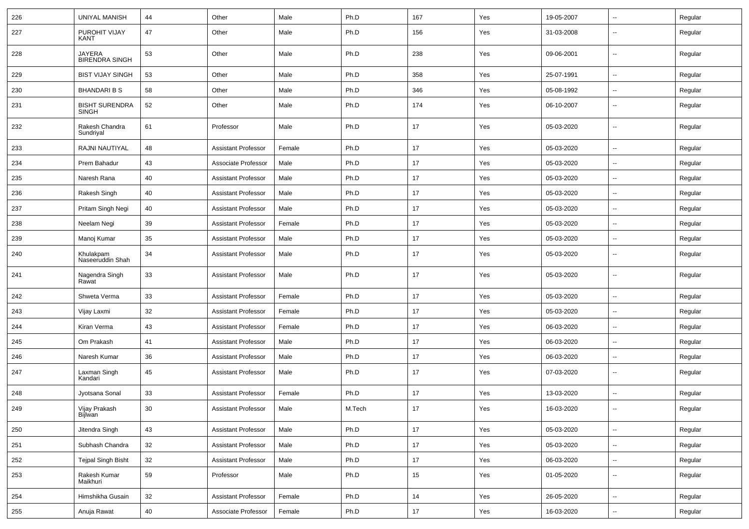| 226 | <b>UNIYAL MANISH</b>                   | 44     | Other                      | Male   | Ph.D   | 167    | Yes | 19-05-2007 | $\mathbf{u}$             | Regular |
|-----|----------------------------------------|--------|----------------------------|--------|--------|--------|-----|------------|--------------------------|---------|
| 227 | PUROHIT VIJAY<br>KANT                  | 47     | Other                      | Male   | Ph.D   | 156    | Yes | 31-03-2008 | $\overline{\phantom{a}}$ | Regular |
| 228 | <b>JAYERA</b><br><b>BIRENDRA SINGH</b> | 53     | Other                      | Male   | Ph.D   | 238    | Yes | 09-06-2001 | $\mathbf{u}$             | Regular |
| 229 | <b>BIST VIJAY SINGH</b>                | 53     | Other                      | Male   | Ph.D   | 358    | Yes | 25-07-1991 | $\sim$                   | Regular |
| 230 | <b>BHANDARIBS</b>                      | 58     | Other                      | Male   | Ph.D   | 346    | Yes | 05-08-1992 | $\overline{\phantom{a}}$ | Regular |
| 231 | <b>BISHT SURENDRA</b><br><b>SINGH</b>  | 52     | Other                      | Male   | Ph.D   | 174    | Yes | 06-10-2007 | $\overline{\phantom{a}}$ | Regular |
| 232 | Rakesh Chandra<br>Sundriyal            | 61     | Professor                  | Male   | Ph.D   | 17     | Yes | 05-03-2020 | $\overline{\phantom{a}}$ | Regular |
| 233 | RAJNI NAUTIYAL                         | 48     | <b>Assistant Professor</b> | Female | Ph.D   | 17     | Yes | 05-03-2020 | $\overline{\phantom{a}}$ | Regular |
| 234 | Prem Bahadur                           | 43     | Associate Professor        | Male   | Ph.D   | 17     | Yes | 05-03-2020 | $\mathbf{u}$             | Regular |
| 235 | Naresh Rana                            | 40     | <b>Assistant Professor</b> | Male   | Ph.D   | 17     | Yes | 05-03-2020 |                          | Regular |
| 236 | Rakesh Singh                           | 40     | Assistant Professor        | Male   | Ph.D   | 17     | Yes | 05-03-2020 | $\sim$                   | Regular |
| 237 | Pritam Singh Negi                      | 40     | <b>Assistant Professor</b> | Male   | Ph.D   | 17     | Yes | 05-03-2020 | $\sim$                   | Regular |
| 238 | Neelam Negi                            | 39     | <b>Assistant Professor</b> | Female | Ph.D   | 17     | Yes | 05-03-2020 | $\mathbf{u}$             | Regular |
| 239 | Manoj Kumar                            | 35     | <b>Assistant Professor</b> | Male   | Ph.D   | 17     | Yes | 05-03-2020 | $\overline{\phantom{a}}$ | Regular |
| 240 | Khulakpam<br>Naseeruddin Shah          | 34     | <b>Assistant Professor</b> | Male   | Ph.D   | 17     | Yes | 05-03-2020 | $\overline{\phantom{a}}$ | Regular |
| 241 | Nagendra Singh<br>Rawat                | 33     | <b>Assistant Professor</b> | Male   | Ph.D   | 17     | Yes | 05-03-2020 | $\overline{\phantom{a}}$ | Regular |
| 242 | Shweta Verma                           | 33     | <b>Assistant Professor</b> | Female | Ph.D   | 17     | Yes | 05-03-2020 | $\mathbf{u}$             | Regular |
| 243 | Vijay Laxmi                            | 32     | Assistant Professor        | Female | Ph.D   | 17     | Yes | 05-03-2020 |                          | Regular |
| 244 | Kiran Verma                            | 43     | <b>Assistant Professor</b> | Female | Ph.D   | 17     | Yes | 06-03-2020 | $\mathbf{u}$             | Regular |
| 245 | Om Prakash                             | 41     | <b>Assistant Professor</b> | Male   | Ph.D   | 17     | Yes | 06-03-2020 | $\sim$                   | Regular |
| 246 | Naresh Kumar                           | 36     | Assistant Professor        | Male   | Ph.D   | 17     | Yes | 06-03-2020 |                          | Regular |
| 247 | Laxman Singh<br>Kandari                | 45     | <b>Assistant Professor</b> | Male   | Ph.D   | 17     | Yes | 07-03-2020 | $\overline{\phantom{a}}$ | Regular |
| 248 | Jyotsana Sonal                         | 33     | <b>Assistant Professor</b> | Female | Ph.D   | 17     | Yes | 13-03-2020 | $\mathbf{u}$             | Regular |
| 249 | Vijay Prakash<br>Bijlwan               | $30\,$ | Assistant Professor        | Male   | M.Tech | $17\,$ | Yes | 16-03-2020 |                          | Regular |
| 250 | Jitendra Singh                         | 43     | <b>Assistant Professor</b> | Male   | Ph.D   | 17     | Yes | 05-03-2020 | $\sim$                   | Regular |
| 251 | Subhash Chandra                        | 32     | <b>Assistant Professor</b> | Male   | Ph.D   | 17     | Yes | 05-03-2020 | $\sim$                   | Regular |
| 252 | <b>Tejpal Singh Bisht</b>              | 32     | <b>Assistant Professor</b> | Male   | Ph.D   | 17     | Yes | 06-03-2020 | $\sim$                   | Regular |
| 253 | Rakesh Kumar<br>Maikhuri               | 59     | Professor                  | Male   | Ph.D   | 15     | Yes | 01-05-2020 | $\sim$                   | Regular |
| 254 | Himshikha Gusain                       | $32\,$ | <b>Assistant Professor</b> | Female | Ph.D   | 14     | Yes | 26-05-2020 | $\sim$                   | Regular |
| 255 | Anuja Rawat                            | 40     | Associate Professor        | Female | Ph.D   | 17     | Yes | 16-03-2020 | $\overline{\phantom{a}}$ | Regular |